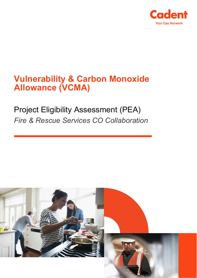

# **Vulnerability & Carbon Monoxide Allowance (VCMA)**

# Project Eligibility Assessment (PEA) *Fire & Rescue Services CO Collaboration*

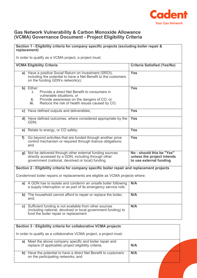

### **Gas Network Vulnerability & Carbon Monoxide Allowance (VCMA) Governance Document - Project Eligibility Criteria**

## **Section 1 - Eligibility criteria for company specific projects (excluding boiler repair & replacement)**

In order to qualify as a VCMA project, a project must:

|    | <b>VCMA Eligibility Criteria</b>                                                                                                                                                                             | <b>Criteria Satisfied (Yes/No)</b>                                                 |
|----|--------------------------------------------------------------------------------------------------------------------------------------------------------------------------------------------------------------|------------------------------------------------------------------------------------|
|    | a) Have a positive Social Return on Investment (SROI),<br>including the potential to have a Net Benefit to the customers<br>on the funding GDN's network(s);                                                 | <b>Yes</b>                                                                         |
|    | b) Either:<br>Provide a direct Net Benefit to consumers in<br>i.<br>vulnerable situations, or<br>Provide awareness on the dangers of CO, or<br>ii.<br>Reduce the risk of health issues caused by CO;<br>iii. | <b>Yes</b>                                                                         |
|    | c) Have defined outputs and deliverables;                                                                                                                                                                    | <b>Yes</b>                                                                         |
|    | d) Have defined outcomes, where considered appropriate by the<br>GDN:                                                                                                                                        | <b>Yes</b>                                                                         |
|    | e) Relate to energy, or CO safety;                                                                                                                                                                           | <b>Yes</b>                                                                         |
| f  | Go beyond activities that are funded through another price<br>control mechanism or required through licence obligations;<br>and                                                                              | <b>Yes</b>                                                                         |
| g) | Not be delivered through other external funding sources<br>directly accessed by a GDN, including through other<br>government (national, devolved or local) funding.                                          | No - should this be "Yes"<br>unless the project intends<br>to use external funding |
|    | Section 2 - Eligibility criteria for company specific boiler repair and replacement projects                                                                                                                 |                                                                                    |
|    | Condemned boiler repairs or replacements are eligible as VCMA projects where:                                                                                                                                |                                                                                    |
|    | a) A GDN has to isolate and condemn an unsafe boiler following<br>a supply interruption or as part of its emergency service role;                                                                            | N/A                                                                                |
|    | b) The household cannot afford to repair or replace the boiler,<br>and:                                                                                                                                      | N/A                                                                                |
|    | c) Sufficient funding is not available from other sources<br>(including national, devolved or local government funding) to<br>fund the boiler repair or replacement.                                         | N/A                                                                                |

| Section 3 - Eligibility criteria for collaborative VCMA projects                                                     |     |  |
|----------------------------------------------------------------------------------------------------------------------|-----|--|
| In order to qualify as a collaborative VCMA project, a project must:                                                 |     |  |
| Meet the above company specific and boiler repair and<br>replace (if applicable) project eligibility criteria;<br>a) | N/A |  |
| Have the potential to have a direct Net Benefit to customers<br>b)<br>on the participating networks; and             | N/A |  |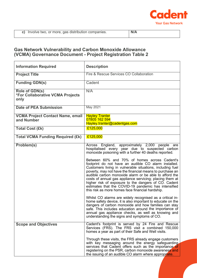

### **Gas Network Vulnerability and Carbon Monoxide Allowance (VCMA) Governance Document - Project Registration Table 2**

| <b>Information Required</b>                                       | <b>Description</b>                                                                                                                                                                                                                                                                                                                                                                                                                                                                                                                                                                                                                                                                                                                                                                                                                                                                                                                                                                                                                      |
|-------------------------------------------------------------------|-----------------------------------------------------------------------------------------------------------------------------------------------------------------------------------------------------------------------------------------------------------------------------------------------------------------------------------------------------------------------------------------------------------------------------------------------------------------------------------------------------------------------------------------------------------------------------------------------------------------------------------------------------------------------------------------------------------------------------------------------------------------------------------------------------------------------------------------------------------------------------------------------------------------------------------------------------------------------------------------------------------------------------------------|
| <b>Project Title</b>                                              | Fire & Rescue Services CO Collaboration                                                                                                                                                                                                                                                                                                                                                                                                                                                                                                                                                                                                                                                                                                                                                                                                                                                                                                                                                                                                 |
| <b>Funding GDN(s)</b>                                             | Cadent                                                                                                                                                                                                                                                                                                                                                                                                                                                                                                                                                                                                                                                                                                                                                                                                                                                                                                                                                                                                                                  |
| <b>Role of GDN(s)</b><br>*For Collaborative VCMA Projects<br>only | N/A                                                                                                                                                                                                                                                                                                                                                                                                                                                                                                                                                                                                                                                                                                                                                                                                                                                                                                                                                                                                                                     |
| <b>Date of PEA Submission</b>                                     | May 2021                                                                                                                                                                                                                                                                                                                                                                                                                                                                                                                                                                                                                                                                                                                                                                                                                                                                                                                                                                                                                                |
| <b>VCMA Project Contact Name, email</b><br>and Number             | <b>Hayley Tranter</b><br>07805 162 594<br>Hayley.tranter@cadentgas.com                                                                                                                                                                                                                                                                                                                                                                                                                                                                                                                                                                                                                                                                                                                                                                                                                                                                                                                                                                  |
| <b>Total Cost (£k)</b>                                            | £125,000                                                                                                                                                                                                                                                                                                                                                                                                                                                                                                                                                                                                                                                                                                                                                                                                                                                                                                                                                                                                                                |
| <b>Total VCMA Funding Required (£k)</b>                           | £125,000                                                                                                                                                                                                                                                                                                                                                                                                                                                                                                                                                                                                                                                                                                                                                                                                                                                                                                                                                                                                                                |
| Problem(s)                                                        | Across England, approximately 2,000 people are<br>hospitalised every year due to suspected carbon<br>monoxide poisoning with a further 40 deaths reported.<br>Between 60% and 70% of homes across Cadent's<br>footprint do not have an audible CO alarm installed.<br>Customers living in vulnerable situations, including fuel<br>poverty, may not have the financial means to purchase an<br>audible carbon monoxide alarm or be able to afford the<br>costs of annual gas appliance servicing; placing them at<br>higher risk of exposure to the dangers of CO. Cadent<br>estimates that the COVID-19 pandemic has intensified<br>this risk as more homes face financial hardship.<br>Whilst CO alarms are widely recognised as a critical in-<br>home safety device, it is also important to educate on the<br>dangers of carbon monoxide and how families can stay<br>safe. This includes education around the importance of<br>annual gas appliance checks, as well as knowing and<br>understanding the signs and symptoms of CO. |
| <b>Scope and Objectives</b>                                       | Cadent's footprint is served by 24 Fire and Rescue<br>Services (FRS). The FRS visit a combined 150,000<br>homes a year as part of their Safe and Well visits.<br>Through these visits, the FRS already engage customers<br>with key messaging around the energy safeguarding<br>services that Cadent offers such as the importance of<br>registering on the PSR, carbon monoxide awareness and<br>the issuing of an audible CO alarm where appropriate.                                                                                                                                                                                                                                                                                                                                                                                                                                                                                                                                                                                 |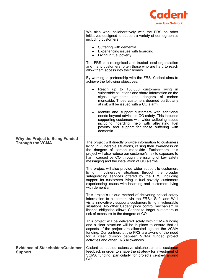

|                                                                   | We also work collaboratively with the FRS on other<br>initiatives designed to support a variety of demographics<br>including customers:<br>• Suffering with dementia<br>Experiencing issues with hoarding<br>$\bullet$<br>Living in fuel poverty<br>The FRS is a recognised and trusted local organisation<br>and many customers, often those who are hard to reach<br>allow them access into their homes.<br>By working in partnership with the FRS, Cadent aims to<br>achieve the following objectives:<br>Reach up to 150,000 customers living in<br>vulnerable situations and share information on the<br>signs, symptoms and dangers of carbon<br>monoxide. Those customers deemed particularly<br>at risk will be issued with a CO alarm.<br>Identify and support customers with additional<br>needs beyond advice on CO safety. This includes<br>supporting customers with wider wellbeing issues<br>including hoarding, help with alleviating fuel<br>poverty and support for those suffering with<br>dementia.                                                                                                                                                                                                                                                                                                                                          |
|-------------------------------------------------------------------|------------------------------------------------------------------------------------------------------------------------------------------------------------------------------------------------------------------------------------------------------------------------------------------------------------------------------------------------------------------------------------------------------------------------------------------------------------------------------------------------------------------------------------------------------------------------------------------------------------------------------------------------------------------------------------------------------------------------------------------------------------------------------------------------------------------------------------------------------------------------------------------------------------------------------------------------------------------------------------------------------------------------------------------------------------------------------------------------------------------------------------------------------------------------------------------------------------------------------------------------------------------------------------------------------------------------------------------------------------------|
| <b>Why the Project is Being Funded</b><br><b>Through the VCMA</b> | The project will directly provide information to customers<br>living in vulnerable situations, raising their awareness on<br>the dangers of carbon monoxide. Furthermore, this<br>project will also reduce our customer's risk to exposure to<br>harm caused by CO through the issuing of key safety<br>messaging and the installation of CO alarms.<br>The project will also provide wider support to customers<br>living in vulnerable situations through the broader<br>safeguarding services offered by the FRS, including<br>support for customers living in fuel poverty, customers<br>experiencing issues with hoarding and customers living<br>with dementia.<br>This project's unique method of delivering critical safety<br>information to customers via the FRS's Safe and Well<br>visits innovatively supports customers living in vulnerable<br>situations. No other Cadent price control mechanism or<br>licence obligation allows Cadent to target customers at<br>risk of exposure to the dangers of CO.<br>This project will be delivered solely with VCMA funding<br>and a clear structure will be in place to ensure that all<br>aspects of the project are allocated against the VCMA<br>funding. Our partners at the FRS are aware of the need<br>for a clear division between VCMA funded project<br>activities and other FRS allowances. |
| <b>Evidence of Stakeholder/Customer</b><br><b>Support</b>         | Cadent conducted extensive stakeholder and customer<br>feedback in order to shape the strategy for investment of<br>VCMA funding, particularly for projects centred around<br>CO.                                                                                                                                                                                                                                                                                                                                                                                                                                                                                                                                                                                                                                                                                                                                                                                                                                                                                                                                                                                                                                                                                                                                                                                |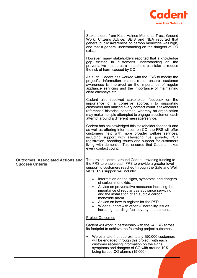

|                                                                    | Stakeholders from Katie Haines Memorial Trust, Ground<br>Work, Citizens Advice, BEIS and NEA reported that<br>general public awareness on carbon monoxide was high,<br>and that a general understanding on the dangers of CO<br>exists.                                                                                                                                                           |
|--------------------------------------------------------------------|---------------------------------------------------------------------------------------------------------------------------------------------------------------------------------------------------------------------------------------------------------------------------------------------------------------------------------------------------------------------------------------------------|
|                                                                    | However, many stakeholders reported that a knowledge<br>gap existed in customer's understanding on the<br>preventative measures a household can take to reduce<br>the risk of harm caused by CO.                                                                                                                                                                                                  |
|                                                                    | As such, Cadent has worked with the FRS to modify the<br>project's information materials to ensure customer<br>awareness is improved on the importance of regular<br>appliance servicing and the importance of maintaining<br>clear chimneys etc.                                                                                                                                                 |
|                                                                    | Cadent also received stakeholder feedback on the<br>importance of a cohesive approach to supporting<br>customers and making every contact count. Stakeholders<br>referenced historical schemes, whereby an organisation<br>may make multiple attempted to engage a customer, each<br>attempt around a different message/service.                                                                  |
|                                                                    | Cadent has acknowledged this stakeholder feedback and<br>as well as offering information on CO, the FRS will offer<br>customers help with more broader welfare services,<br>including support with alleviating fuel poverty, PSR<br>registration, hoarding issues and support for customers<br>living with dementia. This ensures that Cadent makes<br>every contact count.                       |
| <b>Outcomes, Associated Actions and</b><br><b>Success Criteria</b> | The project centres around Cadent providing funding to<br>the FRS to enable each FRS to provide a greater level<br>support to customers reached through the Safe and Well<br>visits. This support will include:                                                                                                                                                                                   |
|                                                                    | Information on the signs, symptoms and dangers<br>of carbon monoxide,<br>Advice on preventative measures including the<br>$\bullet$<br>importance of regular gas appliance servicing<br>and the installation of an audible carbon<br>monoxide alarm.<br>Advice on how to register for the PSR.<br>Wider support with other vulnerability issues<br>including hoarding, fuel poverty and dementia. |
|                                                                    | <b>Project Outcomes</b>                                                                                                                                                                                                                                                                                                                                                                           |
|                                                                    | Cadent will work in partnership with the 24 FRS across<br>its footprint to achieve the following project outcomes:                                                                                                                                                                                                                                                                                |
|                                                                    | We estimate that approximately 150,000 customers<br>٠<br>will be engaged through this project; with each<br>customer receiving information on the signs,<br>symptoms and dangers of CO with around 10%<br>being issued CO alarms (15,000)                                                                                                                                                         |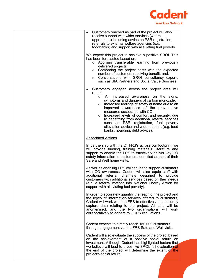

| • Customers reached as part of the project will also<br>receive support with wider services (where<br>appropriate) including advice on PSR registration,<br>referrals to external welfare agencies (e.g.<br>foodbanks) and support with alleviating fuel poverty.<br>We expect this project to achieve a positive SROI. This<br>has been forecasted based on:<br>Applying transferable learning from previously<br>$\circ$<br>delivered projects,<br>Comparing the project costs with the expected<br>$\circ$<br>number of customers receiving benefit, and,<br>Conversations with SROI consultancy experts<br>$\circ$<br>such as SIA Partners and Social Value Business.<br>Customers engaged across the project area will<br>report:<br>An increased awareness on the<br>signs,<br>$\circ$<br>symptoms and dangers of carbon monoxide.<br>Increased feelings of safety at home due to an<br>$\circ$<br>improved awareness of the preventative<br>measures associated with CO.<br>Increased levels of comfort and security, due<br>$\circ$<br>to benefitting from additional referral services<br>such as PSR registration, fuel poverty<br>alleviation advice and wider support (e.g. food<br>banks, hoarding, debt advice).<br><b>Associated Actions</b><br>In partnership with the 24 FRS's across our footprint, we<br>will provide funding, training materials, literature and<br>support to enable the FRS to effectively deliver key CO<br>safety information to customers identified as part of their<br>Safe and Well home visits.<br>As well as enabling FRS colleagues to support customers<br>with CO awareness, Cadent will also equip staff with<br>additional referral channels designed to provide<br>customers with additional services based on their needs<br>(e.g. a referral method into National Energy Action for<br>support with alleviating fuel poverty).<br>In order to accurately quantify the reach of the project and<br>the types of information/services offered to customers,<br>Cadent will work with the FRS to effectively and securely<br>capture data relating to the project. All data will be<br>anonymised, and the two organisations will work<br>collaboratively to adhere to GDPR regulations.<br>Cadent expects to directly reach 150,000 customers<br>through engagement via the FRS Safe and Well visits.<br>Cadent will also evaluate the success of the project based<br>on the achievement of a positive social return on<br>investment. Although Cadent has highlighted factors that<br>we believe will lead to a positive SROI, full evaluation at<br>the end of the project will determine the extent of the<br>project's social return. |  |
|------------------------------------------------------------------------------------------------------------------------------------------------------------------------------------------------------------------------------------------------------------------------------------------------------------------------------------------------------------------------------------------------------------------------------------------------------------------------------------------------------------------------------------------------------------------------------------------------------------------------------------------------------------------------------------------------------------------------------------------------------------------------------------------------------------------------------------------------------------------------------------------------------------------------------------------------------------------------------------------------------------------------------------------------------------------------------------------------------------------------------------------------------------------------------------------------------------------------------------------------------------------------------------------------------------------------------------------------------------------------------------------------------------------------------------------------------------------------------------------------------------------------------------------------------------------------------------------------------------------------------------------------------------------------------------------------------------------------------------------------------------------------------------------------------------------------------------------------------------------------------------------------------------------------------------------------------------------------------------------------------------------------------------------------------------------------------------------------------------------------------------------------------------------------------------------------------------------------------------------------------------------------------------------------------------------------------------------------------------------------------------------------------------------------------------------------------------------------------------------------------------------------------------------------------------------------------------------------------------------------------------------------------------------------------------------------|--|
|                                                                                                                                                                                                                                                                                                                                                                                                                                                                                                                                                                                                                                                                                                                                                                                                                                                                                                                                                                                                                                                                                                                                                                                                                                                                                                                                                                                                                                                                                                                                                                                                                                                                                                                                                                                                                                                                                                                                                                                                                                                                                                                                                                                                                                                                                                                                                                                                                                                                                                                                                                                                                                                                                                |  |
|                                                                                                                                                                                                                                                                                                                                                                                                                                                                                                                                                                                                                                                                                                                                                                                                                                                                                                                                                                                                                                                                                                                                                                                                                                                                                                                                                                                                                                                                                                                                                                                                                                                                                                                                                                                                                                                                                                                                                                                                                                                                                                                                                                                                                                                                                                                                                                                                                                                                                                                                                                                                                                                                                                |  |
|                                                                                                                                                                                                                                                                                                                                                                                                                                                                                                                                                                                                                                                                                                                                                                                                                                                                                                                                                                                                                                                                                                                                                                                                                                                                                                                                                                                                                                                                                                                                                                                                                                                                                                                                                                                                                                                                                                                                                                                                                                                                                                                                                                                                                                                                                                                                                                                                                                                                                                                                                                                                                                                                                                |  |
|                                                                                                                                                                                                                                                                                                                                                                                                                                                                                                                                                                                                                                                                                                                                                                                                                                                                                                                                                                                                                                                                                                                                                                                                                                                                                                                                                                                                                                                                                                                                                                                                                                                                                                                                                                                                                                                                                                                                                                                                                                                                                                                                                                                                                                                                                                                                                                                                                                                                                                                                                                                                                                                                                                |  |
|                                                                                                                                                                                                                                                                                                                                                                                                                                                                                                                                                                                                                                                                                                                                                                                                                                                                                                                                                                                                                                                                                                                                                                                                                                                                                                                                                                                                                                                                                                                                                                                                                                                                                                                                                                                                                                                                                                                                                                                                                                                                                                                                                                                                                                                                                                                                                                                                                                                                                                                                                                                                                                                                                                |  |
|                                                                                                                                                                                                                                                                                                                                                                                                                                                                                                                                                                                                                                                                                                                                                                                                                                                                                                                                                                                                                                                                                                                                                                                                                                                                                                                                                                                                                                                                                                                                                                                                                                                                                                                                                                                                                                                                                                                                                                                                                                                                                                                                                                                                                                                                                                                                                                                                                                                                                                                                                                                                                                                                                                |  |
|                                                                                                                                                                                                                                                                                                                                                                                                                                                                                                                                                                                                                                                                                                                                                                                                                                                                                                                                                                                                                                                                                                                                                                                                                                                                                                                                                                                                                                                                                                                                                                                                                                                                                                                                                                                                                                                                                                                                                                                                                                                                                                                                                                                                                                                                                                                                                                                                                                                                                                                                                                                                                                                                                                |  |
|                                                                                                                                                                                                                                                                                                                                                                                                                                                                                                                                                                                                                                                                                                                                                                                                                                                                                                                                                                                                                                                                                                                                                                                                                                                                                                                                                                                                                                                                                                                                                                                                                                                                                                                                                                                                                                                                                                                                                                                                                                                                                                                                                                                                                                                                                                                                                                                                                                                                                                                                                                                                                                                                                                |  |
|                                                                                                                                                                                                                                                                                                                                                                                                                                                                                                                                                                                                                                                                                                                                                                                                                                                                                                                                                                                                                                                                                                                                                                                                                                                                                                                                                                                                                                                                                                                                                                                                                                                                                                                                                                                                                                                                                                                                                                                                                                                                                                                                                                                                                                                                                                                                                                                                                                                                                                                                                                                                                                                                                                |  |
|                                                                                                                                                                                                                                                                                                                                                                                                                                                                                                                                                                                                                                                                                                                                                                                                                                                                                                                                                                                                                                                                                                                                                                                                                                                                                                                                                                                                                                                                                                                                                                                                                                                                                                                                                                                                                                                                                                                                                                                                                                                                                                                                                                                                                                                                                                                                                                                                                                                                                                                                                                                                                                                                                                |  |
|                                                                                                                                                                                                                                                                                                                                                                                                                                                                                                                                                                                                                                                                                                                                                                                                                                                                                                                                                                                                                                                                                                                                                                                                                                                                                                                                                                                                                                                                                                                                                                                                                                                                                                                                                                                                                                                                                                                                                                                                                                                                                                                                                                                                                                                                                                                                                                                                                                                                                                                                                                                                                                                                                                |  |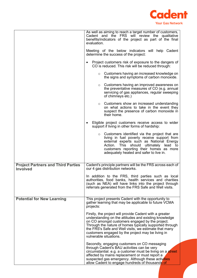

|                                                              | As well as aiming to reach a target number of customers,<br>Cadent and the FRS will review the qualitative<br>benefits/indicators of the project as part of the final<br>evaluation.<br>Meeting of the below indicators will help Cadent<br>determine the success of the project:<br>Project customers risk of exposure to the dangers of<br>CO is reduced. This risk will be reduced through:<br>Customers having an increased knowledge on<br>$\circ$<br>the signs and symptoms of carbon monoxide.<br>Customers having an improved awareness on<br>$\circ$<br>the preventative measures of CO (e.g. annual<br>servicing of gas appliances, regular sweeping<br>of chimneys etc.)<br>Customers show an increased understanding<br>$\circ$<br>on what actions to take in the event they<br>suspect the presence of carbon monoxide in<br>their home.<br>Eligible project customers receive access to wider<br>support if living in other forms of hardship:<br>Customers identified via the project that are<br>$\circ$<br>living in fuel poverty receive support from<br>external experts such as National Energy<br>Action. This should ultimately lead to<br>customers reporting their homes as more<br>adequately heated and safer to live in. |
|--------------------------------------------------------------|-----------------------------------------------------------------------------------------------------------------------------------------------------------------------------------------------------------------------------------------------------------------------------------------------------------------------------------------------------------------------------------------------------------------------------------------------------------------------------------------------------------------------------------------------------------------------------------------------------------------------------------------------------------------------------------------------------------------------------------------------------------------------------------------------------------------------------------------------------------------------------------------------------------------------------------------------------------------------------------------------------------------------------------------------------------------------------------------------------------------------------------------------------------------------------------------------------------------------------------------------------|
| <b>Project Partners and Third Parties</b><br><b>Involved</b> | Cadent's principle partners will be the FRS across each of<br>our 4 gas distribution networks.<br>In addition to the FRS, third parties such as local<br>authorities, food banks, health services and charities<br>(such as NEA) will have links into the project through<br>referrals generated from the FRS Safe and Well visits.                                                                                                                                                                                                                                                                                                                                                                                                                                                                                                                                                                                                                                                                                                                                                                                                                                                                                                                 |
| <b>Potential for New Learning</b>                            | This project presents Cadent with the opportunity to<br>gather learning that may be applicable to future VCMA<br>projects:<br>Firstly, the project will provide Cadent with a greater<br>understanding on the attitudes and existing knowledge<br>on CO amongst customers engaged by the project.<br>Through the nature of homes typically supported through<br>the FRS's Safe and Well visits, we estimate that many<br>customers engaged by the project may be living in<br>vulnerable situations.<br>Secondly, engaging customers on CO messaging<br>through Cadent's BAU activities can be very<br>circumstantial. e.g. a customer must be living on a street<br>affected by mains replacement or must report a<br>suspected gas emergency. Although these activities<br>allow Cadent to engage hundreds of thousands of                                                                                                                                                                                                                                                                                                                                                                                                                        |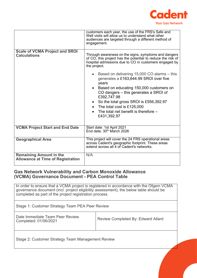

|                                                                            | customers each year, the use of the FRS's Safe and<br>Well visits will allow us to understand what other<br>audiences are targeted through a different method of<br>engagement.                                                                                                                                                                     |  |
|----------------------------------------------------------------------------|-----------------------------------------------------------------------------------------------------------------------------------------------------------------------------------------------------------------------------------------------------------------------------------------------------------------------------------------------------|--|
| <b>Scale of VCMA Project and SROI</b><br><b>Calculations</b>               | Through awareness on the signs, symptoms and dangers<br>of CO, this project has the potential to reduce the risk of<br>hospital admissions due to CO in customers engaged by<br>the project.                                                                                                                                                        |  |
|                                                                            | • Based on delivering 15,000 CO alarms – this<br>generates a £163,644.99 SROI over five<br>years<br>• Based on educating 150,000 customers on<br>CO dangers – this generates a SROI of<br>£392,747.98<br>So the total gross SROI is £556,392.97<br>$\bullet$<br>• The total cost is £125,000<br>The total net benefit is therefore -<br>£431,392.97 |  |
| <b>VCMA Project Start and End Date</b>                                     | Start date: 1st April 2021<br>End date: 30 <sup>th</sup> March 2026                                                                                                                                                                                                                                                                                 |  |
| <b>Geographical Area</b>                                                   | This project will cover the 24 FRS operational areas<br>across Cadent's geographic footprint. These areas<br>extend across all 4 of Cadent's networks.                                                                                                                                                                                              |  |
| <b>Remaining Amount in the</b><br><b>Allowance at Time of Registration</b> | N/A                                                                                                                                                                                                                                                                                                                                                 |  |

#### **Gas Network Vulnerability and Carbon Monoxide Allowance (VCMA) Governance Document - PEA Control Table**

In order to ensure that a VCMA project is registered in accordance with the Ofgem VCMA governance document (incl. project eligibility assessment), the below table should be completed as part of the project registration process. Stage 1: Customer Strategy Team PEA Peer Review Date Immediate Team Peer Review<br>Completed: 01/06/2021 Review Completed By: Edward Allard Stage 2: Customer Strategy Team Management Review